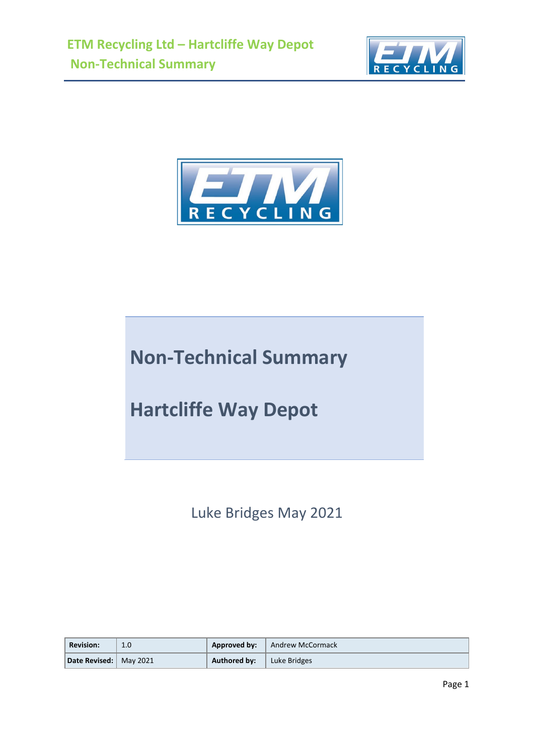



## **Non-Technical Summary**

**Hartcliffe Way Depot**

Luke Bridges May 2021

| <b>Revision:</b>         | 1.0 | Approved by: | Andrew McCormack |
|--------------------------|-----|--------------|------------------|
| Date Revised:   May 2021 |     | Authored by: | Luke Bridges     |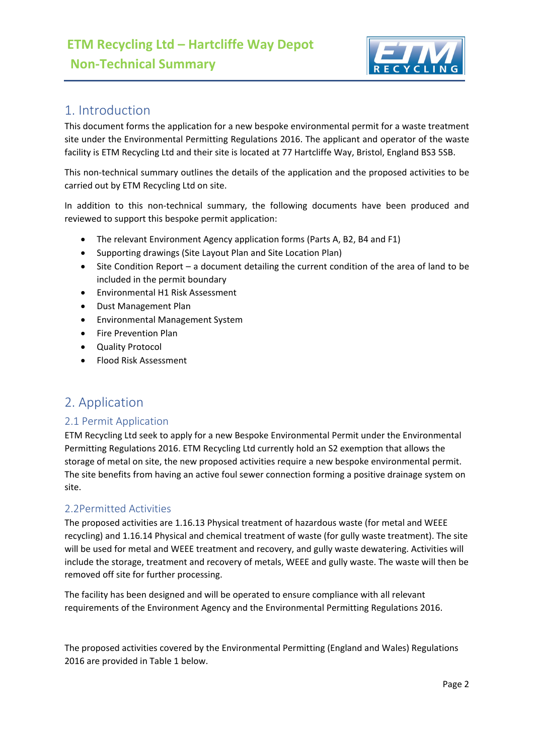

## 1. Introduction

This document forms the application for a new bespoke environmental permit for a waste treatment site under the Environmental Permitting Regulations 2016. The applicant and operator of the waste facility is ETM Recycling Ltd and their site is located at 77 Hartcliffe Way, Bristol, England BS3 5SB.

This non-technical summary outlines the details of the application and the proposed activities to be carried out by ETM Recycling Ltd on site.

In addition to this non-technical summary, the following documents have been produced and reviewed to support this bespoke permit application:

- The relevant Environment Agency application forms (Parts A, B2, B4 and F1)
- Supporting drawings (Site Layout Plan and Site Location Plan)
- Site Condition Report a document detailing the current condition of the area of land to be included in the permit boundary
- Environmental H1 Risk Assessment
- Dust Management Plan
- Environmental Management System
- Fire Prevention Plan
- Quality Protocol
- Flood Risk Assessment

## 2. Application

#### 2.1 Permit Application

ETM Recycling Ltd seek to apply for a new Bespoke Environmental Permit under the Environmental Permitting Regulations 2016. ETM Recycling Ltd currently hold an S2 exemption that allows the storage of metal on site, the new proposed activities require a new bespoke environmental permit. The site benefits from having an active foul sewer connection forming a positive drainage system on site.

#### 2.2Permitted Activities

The proposed activities are 1.16.13 Physical treatment of hazardous waste (for metal and WEEE recycling) and 1.16.14 Physical and chemical treatment of waste (for gully waste treatment). The site will be used for metal and WEEE treatment and recovery, and gully waste dewatering. Activities will include the storage, treatment and recovery of metals, WEEE and gully waste. The waste will then be removed off site for further processing.

The facility has been designed and will be operated to ensure compliance with all relevant requirements of the Environment Agency and the Environmental Permitting Regulations 2016.

The proposed activities covered by the Environmental Permitting (England and Wales) Regulations 2016 are provided in Table 1 below.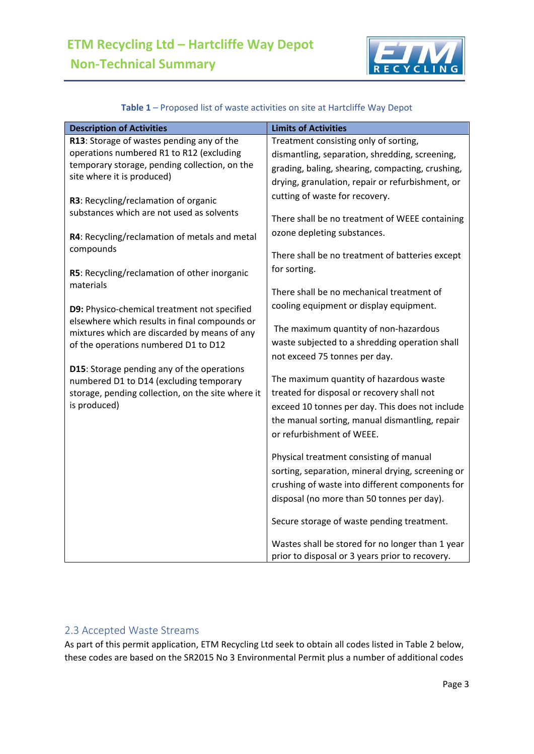

| <b>Description of Activities</b>                                                  | <b>Limits of Activities</b>                       |
|-----------------------------------------------------------------------------------|---------------------------------------------------|
| R13: Storage of wastes pending any of the                                         | Treatment consisting only of sorting,             |
| operations numbered R1 to R12 (excluding                                          | dismantling, separation, shredding, screening,    |
| temporary storage, pending collection, on the                                     | grading, baling, shearing, compacting, crushing,  |
| site where it is produced)                                                        | drying, granulation, repair or refurbishment, or  |
|                                                                                   | cutting of waste for recovery.                    |
| R3: Recycling/reclamation of organic<br>substances which are not used as solvents |                                                   |
|                                                                                   | There shall be no treatment of WEEE containing    |
| R4: Recycling/reclamation of metals and metal                                     | ozone depleting substances.                       |
| compounds                                                                         |                                                   |
|                                                                                   | There shall be no treatment of batteries except   |
| R5: Recycling/reclamation of other inorganic                                      | for sorting.                                      |
| materials                                                                         |                                                   |
|                                                                                   | There shall be no mechanical treatment of         |
| D9: Physico-chemical treatment not specified                                      | cooling equipment or display equipment.           |
| elsewhere which results in final compounds or                                     |                                                   |
| mixtures which are discarded by means of any                                      | The maximum quantity of non-hazardous             |
| of the operations numbered D1 to D12                                              | waste subjected to a shredding operation shall    |
|                                                                                   | not exceed 75 tonnes per day.                     |
| D15: Storage pending any of the operations                                        |                                                   |
| numbered D1 to D14 (excluding temporary                                           | The maximum quantity of hazardous waste           |
| storage, pending collection, on the site where it                                 | treated for disposal or recovery shall not        |
| is produced)                                                                      | exceed 10 tonnes per day. This does not include   |
|                                                                                   | the manual sorting, manual dismantling, repair    |
|                                                                                   | or refurbishment of WEEE.                         |
|                                                                                   |                                                   |
|                                                                                   | Physical treatment consisting of manual           |
|                                                                                   | sorting, separation, mineral drying, screening or |
|                                                                                   | crushing of waste into different components for   |
|                                                                                   | disposal (no more than 50 tonnes per day).        |
|                                                                                   | Secure storage of waste pending treatment.        |
|                                                                                   | Wastes shall be stored for no longer than 1 year  |
|                                                                                   | prior to disposal or 3 years prior to recovery.   |

#### **Table 1** – Proposed list of waste activities on site at Hartcliffe Way Depot

## 2.3 Accepted Waste Streams

As part of this permit application, ETM Recycling Ltd seek to obtain all codes listed in Table 2 below, these codes are based on the SR2015 No 3 Environmental Permit plus a number of additional codes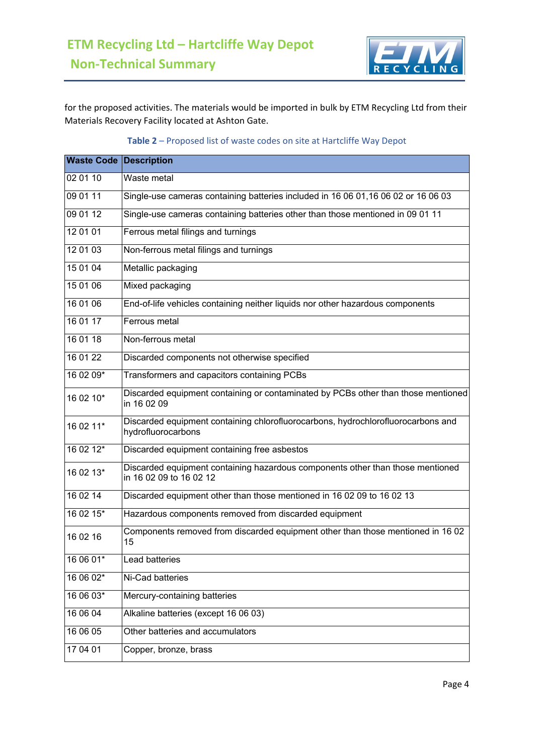

for the proposed activities. The materials would be imported in bulk by ETM Recycling Ltd from their Materials Recovery Facility located at Ashton Gate.

| <b>Waste Code Description</b> |                                                                                                           |  |  |  |
|-------------------------------|-----------------------------------------------------------------------------------------------------------|--|--|--|
| 02 01 10                      | Waste metal                                                                                               |  |  |  |
| 09 01 11                      | Single-use cameras containing batteries included in 16 06 01,16 06 02 or 16 06 03                         |  |  |  |
| 090112                        | Single-use cameras containing batteries other than those mentioned in 09 01 11                            |  |  |  |
| 12 01 01                      | Ferrous metal filings and turnings                                                                        |  |  |  |
| 12 01 03                      | Non-ferrous metal filings and turnings                                                                    |  |  |  |
| 15 01 04                      | Metallic packaging                                                                                        |  |  |  |
| 15 01 06                      | Mixed packaging                                                                                           |  |  |  |
| 16 01 06                      | End-of-life vehicles containing neither liquids nor other hazardous components                            |  |  |  |
| 16 01 17                      | Ferrous metal                                                                                             |  |  |  |
| 16 01 18                      | Non-ferrous metal                                                                                         |  |  |  |
| 16 01 22                      | Discarded components not otherwise specified                                                              |  |  |  |
| 16 02 09*                     | Transformers and capacitors containing PCBs                                                               |  |  |  |
| 16 02 10*                     | Discarded equipment containing or contaminated by PCBs other than those mentioned<br>in 16 02 09          |  |  |  |
| 16 02 11*                     | Discarded equipment containing chlorofluorocarbons, hydrochlorofluorocarbons and<br>hydrofluorocarbons    |  |  |  |
| 16 02 12*                     | Discarded equipment containing free asbestos                                                              |  |  |  |
| 16 02 13*                     | Discarded equipment containing hazardous components other than those mentioned<br>in 16 02 09 to 16 02 12 |  |  |  |
| 16 02 14                      | Discarded equipment other than those mentioned in 16 02 09 to 16 02 13                                    |  |  |  |
| 16 02 15*                     | Hazardous components removed from discarded equipment                                                     |  |  |  |
| 16 02 16                      | Components removed from discarded equipment other than those mentioned in 16 02<br>15                     |  |  |  |
| 16 06 01*                     | Lead batteries                                                                                            |  |  |  |
| 16 06 02*                     | Ni-Cad batteries                                                                                          |  |  |  |
| 16 06 03*                     | Mercury-containing batteries                                                                              |  |  |  |
| 16 06 04                      | Alkaline batteries (except 16 06 03)                                                                      |  |  |  |
| 16 06 05                      | Other batteries and accumulators                                                                          |  |  |  |
| 17 04 01                      | Copper, bronze, brass                                                                                     |  |  |  |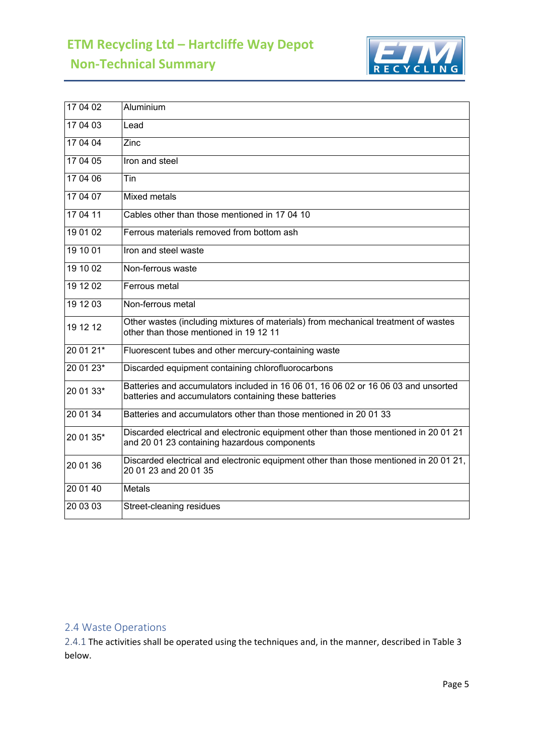# **ETM Recycling Ltd – Hartcliffe Way Depot**

**Non-Technical Summary**



| 17 04 02  | Aluminium                                                                                                                                   |
|-----------|---------------------------------------------------------------------------------------------------------------------------------------------|
| 17 04 03  | Lead                                                                                                                                        |
| 17 04 04  | Zinc                                                                                                                                        |
| 17 04 05  | Iron and steel                                                                                                                              |
| 17 04 06  | Tin                                                                                                                                         |
| 17 04 07  | <b>Mixed metals</b>                                                                                                                         |
| 17 04 11  | Cables other than those mentioned in 17 04 10                                                                                               |
| 19 01 02  | Ferrous materials removed from bottom ash                                                                                                   |
| 19 10 01  | Iron and steel waste                                                                                                                        |
| 19 10 02  | Non-ferrous waste                                                                                                                           |
| 19 12 02  | Ferrous metal                                                                                                                               |
| 19 12 03  | Non-ferrous metal                                                                                                                           |
| 19 12 12  | Other wastes (including mixtures of materials) from mechanical treatment of wastes<br>other than those mentioned in 19 12 11                |
| $200121*$ | Fluorescent tubes and other mercury-containing waste                                                                                        |
| $200123*$ | Discarded equipment containing chlorofluorocarbons                                                                                          |
| 20 01 33* | Batteries and accumulators included in 16 06 01, 16 06 02 or 16 06 03 and unsorted<br>batteries and accumulators containing these batteries |
| 20 01 34  | Batteries and accumulators other than those mentioned in 20 01 33                                                                           |
| 20 01 35* | Discarded electrical and electronic equipment other than those mentioned in 20 01 21<br>and 20 01 23 containing hazardous components        |
| 20 01 36  | Discarded electrical and electronic equipment other than those mentioned in 20 01 21,<br>20 01 23 and 20 01 35                              |
| 20 01 40  | <b>Metals</b>                                                                                                                               |
| 20 03 03  | Street-cleaning residues                                                                                                                    |

## 2.4 Waste Operations

2.4.1 The activities shall be operated using the techniques and, in the manner, described in Table 3 below.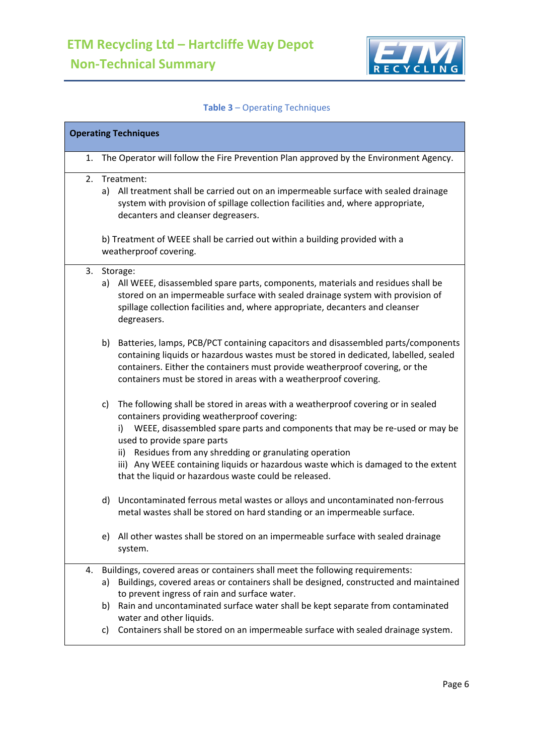

## **Table 3** – Operating Techniques

| <b>Operating Techniques</b> |                                                                                                                                                                                                                                                                                                                                                                                                                                                                   |  |  |  |
|-----------------------------|-------------------------------------------------------------------------------------------------------------------------------------------------------------------------------------------------------------------------------------------------------------------------------------------------------------------------------------------------------------------------------------------------------------------------------------------------------------------|--|--|--|
| 1.                          | The Operator will follow the Fire Prevention Plan approved by the Environment Agency.                                                                                                                                                                                                                                                                                                                                                                             |  |  |  |
|                             | 2. Treatment:<br>All treatment shall be carried out on an impermeable surface with sealed drainage<br>a)<br>system with provision of spillage collection facilities and, where appropriate,<br>decanters and cleanser degreasers.                                                                                                                                                                                                                                 |  |  |  |
|                             | b) Treatment of WEEE shall be carried out within a building provided with a<br>weatherproof covering.                                                                                                                                                                                                                                                                                                                                                             |  |  |  |
|                             | 3. Storage:<br>a) All WEEE, disassembled spare parts, components, materials and residues shall be<br>stored on an impermeable surface with sealed drainage system with provision of<br>spillage collection facilities and, where appropriate, decanters and cleanser<br>degreasers.                                                                                                                                                                               |  |  |  |
|                             | b)<br>Batteries, lamps, PCB/PCT containing capacitors and disassembled parts/components<br>containing liquids or hazardous wastes must be stored in dedicated, labelled, sealed<br>containers. Either the containers must provide weatherproof covering, or the<br>containers must be stored in areas with a weatherproof covering.                                                                                                                               |  |  |  |
|                             | The following shall be stored in areas with a weatherproof covering or in sealed<br>c)<br>containers providing weatherproof covering:<br>i) WEEE, disassembled spare parts and components that may be re-used or may be<br>used to provide spare parts<br>ii) Residues from any shredding or granulating operation<br>iii) Any WEEE containing liquids or hazardous waste which is damaged to the extent<br>that the liquid or hazardous waste could be released. |  |  |  |
|                             | Uncontaminated ferrous metal wastes or alloys and uncontaminated non-ferrous<br>d)<br>metal wastes shall be stored on hard standing or an impermeable surface.                                                                                                                                                                                                                                                                                                    |  |  |  |
|                             | All other wastes shall be stored on an impermeable surface with sealed drainage<br>e)<br>system.                                                                                                                                                                                                                                                                                                                                                                  |  |  |  |
| 4.                          | Buildings, covered areas or containers shall meet the following requirements:                                                                                                                                                                                                                                                                                                                                                                                     |  |  |  |
|                             | Buildings, covered areas or containers shall be designed, constructed and maintained<br>a)<br>to prevent ingress of rain and surface water.                                                                                                                                                                                                                                                                                                                       |  |  |  |
|                             | Rain and uncontaminated surface water shall be kept separate from contaminated<br>b)<br>water and other liquids.                                                                                                                                                                                                                                                                                                                                                  |  |  |  |
|                             | Containers shall be stored on an impermeable surface with sealed drainage system.<br>C)                                                                                                                                                                                                                                                                                                                                                                           |  |  |  |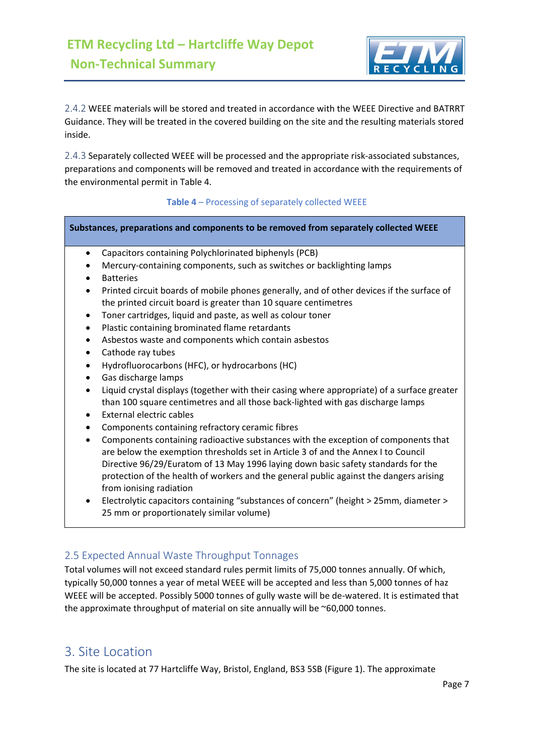

2.4.2 WEEE materials will be stored and treated in accordance with the WEEE Directive and BATRRT Guidance. They will be treated in the covered building on the site and the resulting materials stored inside.

2.4.3 Separately collected WEEE will be processed and the appropriate risk-associated substances, preparations and components will be removed and treated in accordance with the requirements of the environmental permit in Table 4.

#### **Table 4** – Processing of separately collected WEEE

#### **Substances, preparations and components to be removed from separately collected WEEE**

- Capacitors containing Polychlorinated biphenyls (PCB)
- Mercury-containing components, such as switches or backlighting lamps
- **Batteries**
- Printed circuit boards of mobile phones generally, and of other devices if the surface of the printed circuit board is greater than 10 square centimetres
- Toner cartridges, liquid and paste, as well as colour toner
- Plastic containing brominated flame retardants
- Asbestos waste and components which contain asbestos
- Cathode ray tubes
- Hydrofluorocarbons (HFC), or hydrocarbons (HC)
- Gas discharge lamps
- Liquid crystal displays (together with their casing where appropriate) of a surface greater than 100 square centimetres and all those back-lighted with gas discharge lamps
- External electric cables
- Components containing refractory ceramic fibres
- Components containing radioactive substances with the exception of components that are below the exemption thresholds set in Article 3 of and the Annex I to Council Directive 96/29/Euratom of 13 May 1996 laying down basic safety standards for the protection of the health of workers and the general public against the dangers arising from ionising radiation
- Electrolytic capacitors containing "substances of concern" (height > 25mm, diameter > 25 mm or proportionately similar volume)

#### 2.5 Expected Annual Waste Throughput Tonnages

Total volumes will not exceed standard rules permit limits of 75,000 tonnes annually. Of which, typically 50,000 tonnes a year of metal WEEE will be accepted and less than 5,000 tonnes of haz WEEE will be accepted. Possibly 5000 tonnes of gully waste will be de-watered. It is estimated that the approximate throughput of material on site annually will be ~60,000 tonnes.

## 3. Site Location

The site is located at 77 Hartcliffe Way, Bristol, England, BS3 5SB (Figure 1). The approximate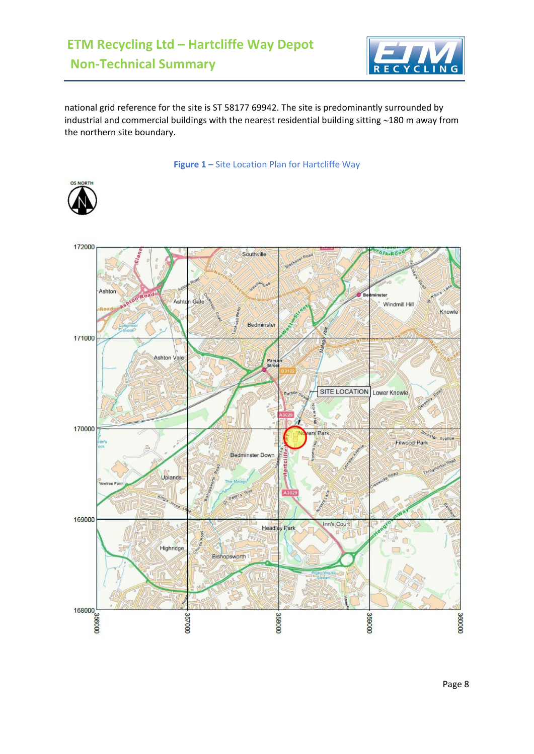

national grid reference for the site is ST 58177 69942. The site is predominantly surrounded by industrial and commercial buildings with the nearest residential building sitting ∼180 m away from the northern site boundary.

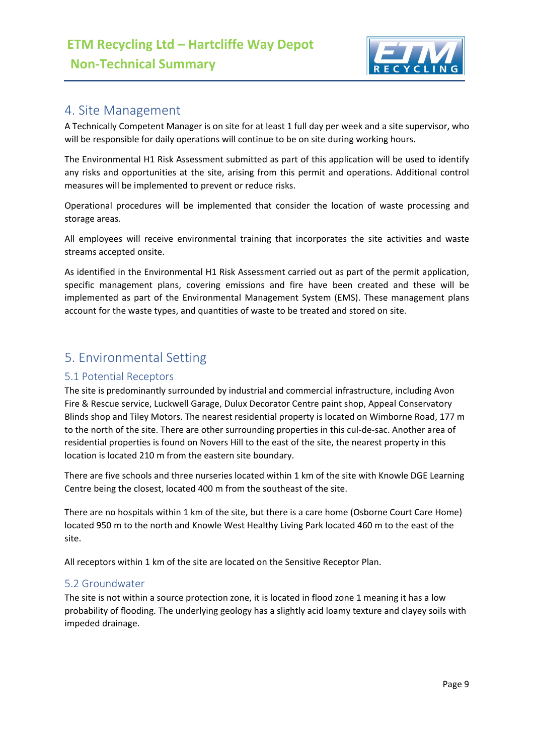

## 4. Site Management

A Technically Competent Manager is on site for at least 1 full day per week and a site supervisor, who will be responsible for daily operations will continue to be on site during working hours.

The Environmental H1 Risk Assessment submitted as part of this application will be used to identify any risks and opportunities at the site, arising from this permit and operations. Additional control measures will be implemented to prevent or reduce risks.

Operational procedures will be implemented that consider the location of waste processing and storage areas.

All employees will receive environmental training that incorporates the site activities and waste streams accepted onsite.

As identified in the Environmental H1 Risk Assessment carried out as part of the permit application, specific management plans, covering emissions and fire have been created and these will be implemented as part of the Environmental Management System (EMS). These management plans account for the waste types, and quantities of waste to be treated and stored on site.

## 5. Environmental Setting

#### 5.1 Potential Receptors

The site is predominantly surrounded by industrial and commercial infrastructure, including Avon Fire & Rescue service, Luckwell Garage, Dulux Decorator Centre paint shop, Appeal Conservatory Blinds shop and Tiley Motors. The nearest residential property is located on Wimborne Road, 177 m to the north of the site. There are other surrounding properties in this cul-de-sac. Another area of residential properties is found on Novers Hill to the east of the site, the nearest property in this location is located 210 m from the eastern site boundary.

There are five schools and three nurseries located within 1 km of the site with Knowle DGE Learning Centre being the closest, located 400 m from the southeast of the site.

There are no hospitals within 1 km of the site, but there is a care home (Osborne Court Care Home) located 950 m to the north and Knowle West Healthy Living Park located 460 m to the east of the site.

All receptors within 1 km of the site are located on the Sensitive Receptor Plan.

#### 5.2 Groundwater

The site is not within a source protection zone, it is located in flood zone 1 meaning it has a low probability of flooding. The underlying geology has a slightly acid loamy texture and clayey soils with impeded drainage.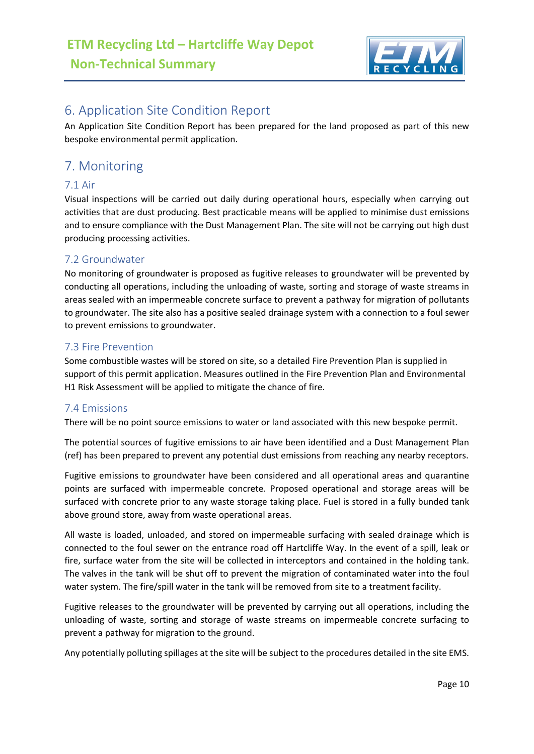

## 6. Application Site Condition Report

An Application Site Condition Report has been prepared for the land proposed as part of this new bespoke environmental permit application.

## 7. Monitoring

#### 7.1 Air

Visual inspections will be carried out daily during operational hours, especially when carrying out activities that are dust producing. Best practicable means will be applied to minimise dust emissions and to ensure compliance with the Dust Management Plan. The site will not be carrying out high dust producing processing activities.

#### 7.2 Groundwater

No monitoring of groundwater is proposed as fugitive releases to groundwater will be prevented by conducting all operations, including the unloading of waste, sorting and storage of waste streams in areas sealed with an impermeable concrete surface to prevent a pathway for migration of pollutants to groundwater. The site also has a positive sealed drainage system with a connection to a foul sewer to prevent emissions to groundwater.

#### 7.3 Fire Prevention

Some combustible wastes will be stored on site, so a detailed Fire Prevention Plan is supplied in support of this permit application. Measures outlined in the Fire Prevention Plan and Environmental H1 Risk Assessment will be applied to mitigate the chance of fire.

#### 7.4 Emissions

There will be no point source emissions to water or land associated with this new bespoke permit.

The potential sources of fugitive emissions to air have been identified and a Dust Management Plan (ref) has been prepared to prevent any potential dust emissions from reaching any nearby receptors.

Fugitive emissions to groundwater have been considered and all operational areas and quarantine points are surfaced with impermeable concrete. Proposed operational and storage areas will be surfaced with concrete prior to any waste storage taking place. Fuel is stored in a fully bunded tank above ground store, away from waste operational areas.

All waste is loaded, unloaded, and stored on impermeable surfacing with sealed drainage which is connected to the foul sewer on the entrance road off Hartcliffe Way. In the event of a spill, leak or fire, surface water from the site will be collected in interceptors and contained in the holding tank. The valves in the tank will be shut off to prevent the migration of contaminated water into the foul water system. The fire/spill water in the tank will be removed from site to a treatment facility.

Fugitive releases to the groundwater will be prevented by carrying out all operations, including the unloading of waste, sorting and storage of waste streams on impermeable concrete surfacing to prevent a pathway for migration to the ground.

Any potentially polluting spillages at the site will be subject to the procedures detailed in the site EMS.